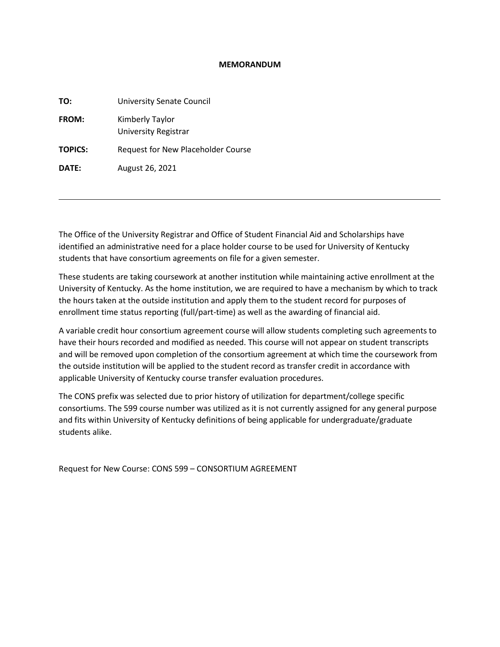#### **MEMORANDUM**

| TO:            | <b>University Senate Council</b>               |
|----------------|------------------------------------------------|
| <b>FROM:</b>   | Kimberly Taylor<br><b>University Registrar</b> |
| <b>TOPICS:</b> | Request for New Placeholder Course             |
| DATE:          | August 26, 2021                                |
|                |                                                |

The Office of the University Registrar and Office of Student Financial Aid and Scholarships have identified an administrative need for a place holder course to be used for University of Kentucky students that have consortium agreements on file for a given semester.

These students are taking coursework at another institution while maintaining active enrollment at the University of Kentucky. As the home institution, we are required to have a mechanism by which to track the hours taken at the outside institution and apply them to the student record for purposes of enrollment time status reporting (full/part-time) as well as the awarding of financial aid.

A variable credit hour consortium agreement course will allow students completing such agreements to have their hours recorded and modified as needed. This course will not appear on student transcripts and will be removed upon completion of the consortium agreement at which time the coursework from the outside institution will be applied to the student record as transfer credit in accordance with applicable University of Kentucky course transfer evaluation procedures.

The CONS prefix was selected due to prior history of utilization for department/college specific consortiums. The 599 course number was utilized as it is not currently assigned for any general purpose and fits within University of Kentucky definitions of being applicable for undergraduate/graduate students alike.

Request for New Course: CONS 599 – CONSORTIUM AGREEMENT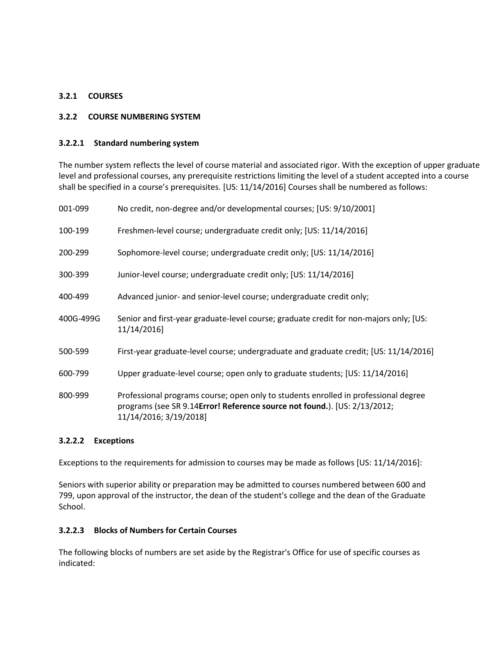# **3.2.1 COURSES**

### **3.2.2 COURSE NUMBERING SYSTEM**

### **3.2.2.1 Standard numbering system**

The number system reflects the level of course material and associated rigor. With the exception of upper graduate level and professional courses, any prerequisite restrictions limiting the level of a student accepted into a course shall be specified in a course's prerequisites. [US: 11/14/2016] Courses shall be numbered as follows:

| 001-099   | No credit, non-degree and/or developmental courses; [US: 9/10/2001]                                                                                                                        |
|-----------|--------------------------------------------------------------------------------------------------------------------------------------------------------------------------------------------|
| 100-199   | Freshmen-level course; undergraduate credit only; [US: 11/14/2016]                                                                                                                         |
| 200-299   | Sophomore-level course; undergraduate credit only; [US: 11/14/2016]                                                                                                                        |
| 300-399   | Junior-level course; undergraduate credit only; [US: 11/14/2016]                                                                                                                           |
| 400-499   | Advanced junior- and senior-level course; undergraduate credit only;                                                                                                                       |
| 400G-499G | Senior and first-year graduate-level course; graduate credit for non-majors only; [US:<br>11/14/2016]                                                                                      |
| 500-599   | First-year graduate-level course; undergraduate and graduate credit; [US: 11/14/2016]                                                                                                      |
| 600-799   | Upper graduate-level course; open only to graduate students; [US: 11/14/2016]                                                                                                              |
| 800-999   | Professional programs course; open only to students enrolled in professional degree<br>programs (see SR 9.14Error! Reference source not found.). [US: 2/13/2012;<br>11/14/2016; 3/19/2018] |

#### **3.2.2.2 Exceptions**

Exceptions to the requirements for admission to courses may be made as follows [US: 11/14/2016]:

Seniors with superior ability or preparation may be admitted to courses numbered between 600 and 799, upon approval of the instructor, the dean of the student's college and the dean of the Graduate School.

## **3.2.2.3 Blocks of Numbers for Certain Courses**

The following blocks of numbers are set aside by the Registrar's Office for use of specific courses as indicated: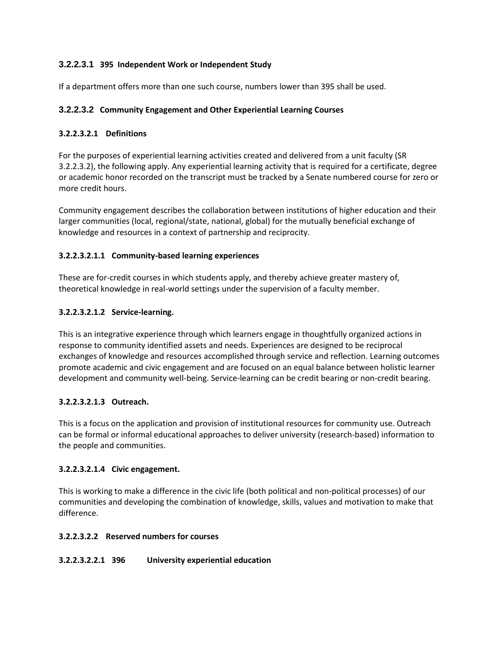# **3.2.2.3.1 395 Independent Work or Independent Study**

If a department offers more than one such course, numbers lower than 395 shall be used.

# **3.2.2.3.2 Community Engagement and Other Experiential Learning Courses**

# **3.2.2.3.2.1 Definitions**

For the purposes of experiential learning activities created and delivered from a unit faculty (SR 3.2.2.3.2), the following apply. Any experiential learning activity that is required for a certificate, degree or academic honor recorded on the transcript must be tracked by a Senate numbered course for zero or more credit hours.

Community engagement describes the collaboration between institutions of higher education and their larger communities (local, regional/state, national, global) for the mutually beneficial exchange of knowledge and resources in a context of partnership and reciprocity.

## **3.2.2.3.2.1.1 Community-based learning experiences**

These are for-credit courses in which students apply, and thereby achieve greater mastery of, theoretical knowledge in real-world settings under the supervision of a faculty member.

## **3.2.2.3.2.1.2 Service-learning.**

This is an integrative experience through which learners engage in thoughtfully organized actions in response to community identified assets and needs. Experiences are designed to be reciprocal exchanges of knowledge and resources accomplished through service and reflection. Learning outcomes promote academic and civic engagement and are focused on an equal balance between holistic learner development and community well-being. Service-learning can be credit bearing or non-credit bearing.

# **3.2.2.3.2.1.3 Outreach.**

This is a focus on the application and provision of institutional resources for community use. Outreach can be formal or informal educational approaches to deliver university (research-based) information to the people and communities.

### **3.2.2.3.2.1.4 Civic engagement.**

This is working to make a difference in the civic life (both political and non-political processes) of our communities and developing the combination of knowledge, skills, values and motivation to make that difference.

# **3.2.2.3.2.2 Reserved numbers for courses**

# **3.2.2.3.2.2.1 396 University experiential education**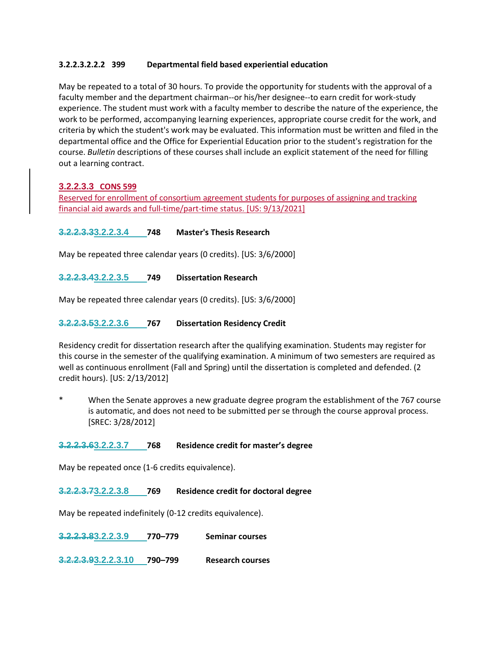### **3.2.2.3.2.2.2 399 Departmental field based experiential education**

May be repeated to a total of 30 hours. To provide the opportunity for students with the approval of a faculty member and the department chairman--or his/her designee--to earn credit for work-study experience. The student must work with a faculty member to describe the nature of the experience, the work to be performed, accompanying learning experiences, appropriate course credit for the work, and criteria by which the student's work may be evaluated. This information must be written and filed in the departmental office and the Office for Experiential Education prior to the student's registration for the course. *Bulletin* descriptions of these courses shall include an explicit statement of the need for filling out a learning contract.

# **3.2.2.3.3 CONS 599**

Reserved for enrollment of consortium agreement students for purposes of assigning and tracking financial aid awards and full-time/part-time status. [US: 9/13/2021]

## **3.2.2.3.33.2.2.3.4 748 Master's Thesis Research**

May be repeated three calendar years (0 credits). [US: 3/6/2000]

**3.2.2.3.43.2.2.3.5 749 Dissertation Research**

May be repeated three calendar years (0 credits). [US: 3/6/2000]

## **3.2.2.3.53.2.2.3.6 767 Dissertation Residency Credit**

Residency credit for dissertation research after the qualifying examination. Students may register for this course in the semester of the qualifying examination. A minimum of two semesters are required as well as continuous enrollment (Fall and Spring) until the dissertation is completed and defended. (2 credit hours). [US: 2/13/2012]

When the Senate approves a new graduate degree program the establishment of the 767 course is automatic, and does not need to be submitted per se through the course approval process. [SREC: 3/28/2012]

### **3.2.2.3.63.2.2.3.7 768 Residence credit for master's degree**

May be repeated once (1-6 credits equivalence).

**3.2.2.3.73.2.2.3.8 769 Residence credit for doctoral degree**

May be repeated indefinitely (0-12 credits equivalence).

**3.2.2.3.83.2.2.3.9 770–779 Seminar courses**

**3.2.2.3.93.2.2.3.10 790–799 Research courses**